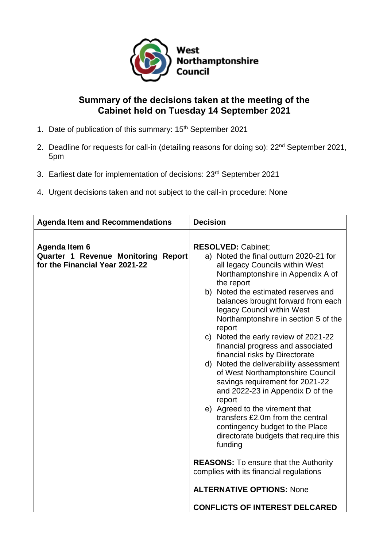

# **Summary of the decisions taken at the meeting of the Cabinet held on Tuesday 14 September 2021**

- 1. Date of publication of this summary: 15<sup>th</sup> September 2021
- 2. Deadline for requests for call-in (detailing reasons for doing so): 22<sup>nd</sup> September 2021, 5pm
- 3. Earliest date for implementation of decisions: 23rd September 2021
- 4. Urgent decisions taken and not subject to the call-in procedure: None

| <b>Agenda Item and Recommendations</b>                                                        | <b>Decision</b>                                                                                                                                                                                                                                                                                                                                                                                                                                                                                                                                                                                                                                                                                                                                                                                                                                                                                  |
|-----------------------------------------------------------------------------------------------|--------------------------------------------------------------------------------------------------------------------------------------------------------------------------------------------------------------------------------------------------------------------------------------------------------------------------------------------------------------------------------------------------------------------------------------------------------------------------------------------------------------------------------------------------------------------------------------------------------------------------------------------------------------------------------------------------------------------------------------------------------------------------------------------------------------------------------------------------------------------------------------------------|
| Agenda Item 6<br><b>Quarter 1 Revenue Monitoring Report</b><br>for the Financial Year 2021-22 | <b>RESOLVED: Cabinet;</b><br>a) Noted the final outturn 2020-21 for<br>all legacy Councils within West<br>Northamptonshire in Appendix A of<br>the report<br>b) Noted the estimated reserves and<br>balances brought forward from each<br>legacy Council within West<br>Northamptonshire in section 5 of the<br>report<br>c) Noted the early review of 2021-22<br>financial progress and associated<br>financial risks by Directorate<br>d) Noted the deliverability assessment<br>of West Northamptonshire Council<br>savings requirement for 2021-22<br>and 2022-23 in Appendix D of the<br>report<br>e) Agreed to the virement that<br>transfers £2.0m from the central<br>contingency budget to the Place<br>directorate budgets that require this<br>funding<br><b>REASONS:</b> To ensure that the Authority<br>complies with its financial regulations<br><b>ALTERNATIVE OPTIONS: None</b> |
|                                                                                               | <b>CONFLICTS OF INTEREST DELCARED</b>                                                                                                                                                                                                                                                                                                                                                                                                                                                                                                                                                                                                                                                                                                                                                                                                                                                            |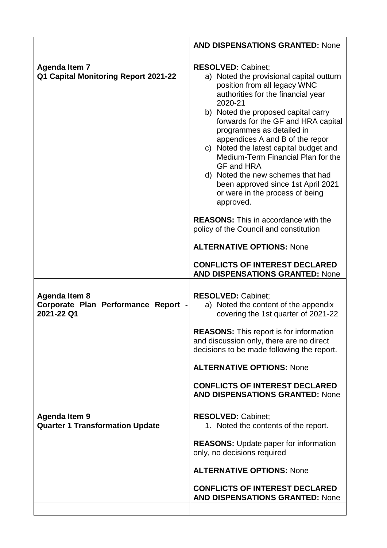|                                                                    | <b>AND DISPENSATIONS GRANTED: None</b>                                                                                                                                                                                                                                                                                                                                                                                                                                                                                                                                                                                                                     |
|--------------------------------------------------------------------|------------------------------------------------------------------------------------------------------------------------------------------------------------------------------------------------------------------------------------------------------------------------------------------------------------------------------------------------------------------------------------------------------------------------------------------------------------------------------------------------------------------------------------------------------------------------------------------------------------------------------------------------------------|
| <b>Agenda Item 7</b><br>Q1 Capital Monitoring Report 2021-22       | <b>RESOLVED: Cabinet:</b><br>a) Noted the provisional capital outturn<br>position from all legacy WNC<br>authorities for the financial year<br>2020-21<br>b) Noted the proposed capital carry<br>forwards for the GF and HRA capital<br>programmes as detailed in<br>appendices A and B of the repor<br>c) Noted the latest capital budget and<br>Medium-Term Financial Plan for the<br>GF and HRA<br>d) Noted the new schemes that had<br>been approved since 1st April 2021<br>or were in the process of being<br>approved.<br><b>REASONS:</b> This in accordance with the<br>policy of the Council and constitution<br><b>ALTERNATIVE OPTIONS: None</b> |
|                                                                    | <b>CONFLICTS OF INTEREST DECLARED</b><br><b>AND DISPENSATIONS GRANTED: None</b>                                                                                                                                                                                                                                                                                                                                                                                                                                                                                                                                                                            |
| Agenda Item 8<br>Corporate Plan Performance Report -<br>2021-22 Q1 | <b>RESOLVED: Cabinet:</b><br>a) Noted the content of the appendix<br>covering the 1st quarter of 2021-22                                                                                                                                                                                                                                                                                                                                                                                                                                                                                                                                                   |
|                                                                    | <b>REASONS:</b> This report is for information<br>and discussion only, there are no direct<br>decisions to be made following the report.                                                                                                                                                                                                                                                                                                                                                                                                                                                                                                                   |
|                                                                    | <b>ALTERNATIVE OPTIONS: None</b>                                                                                                                                                                                                                                                                                                                                                                                                                                                                                                                                                                                                                           |
|                                                                    | <b>CONFLICTS OF INTEREST DECLARED</b><br><b>AND DISPENSATIONS GRANTED: None</b>                                                                                                                                                                                                                                                                                                                                                                                                                                                                                                                                                                            |
| <b>Agenda Item 9</b><br><b>Quarter 1 Transformation Update</b>     | <b>RESOLVED: Cabinet;</b><br>1. Noted the contents of the report.                                                                                                                                                                                                                                                                                                                                                                                                                                                                                                                                                                                          |
|                                                                    | <b>REASONS:</b> Update paper for information<br>only, no decisions required                                                                                                                                                                                                                                                                                                                                                                                                                                                                                                                                                                                |
|                                                                    | <b>ALTERNATIVE OPTIONS: None</b>                                                                                                                                                                                                                                                                                                                                                                                                                                                                                                                                                                                                                           |
|                                                                    | <b>CONFLICTS OF INTEREST DECLARED</b><br><b>AND DISPENSATIONS GRANTED: None</b>                                                                                                                                                                                                                                                                                                                                                                                                                                                                                                                                                                            |
|                                                                    |                                                                                                                                                                                                                                                                                                                                                                                                                                                                                                                                                                                                                                                            |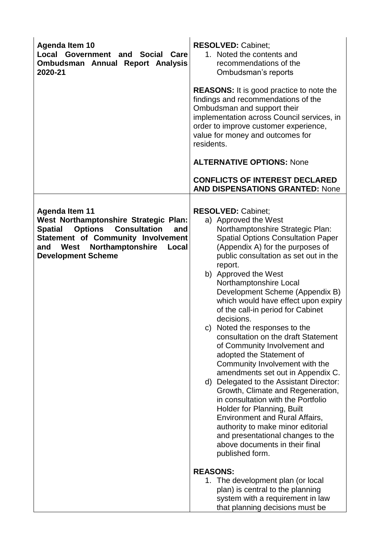| <b>Agenda Item 10</b><br>Local Government and<br><b>Social</b><br>Care<br>Ombudsman Annual Report Analysis<br>2020-21                                                                                                                                  | <b>RESOLVED: Cabinet;</b><br>1. Noted the contents and<br>recommendations of the<br>Ombudsman's reports<br><b>REASONS:</b> It is good practice to note the<br>findings and recommendations of the<br>Ombudsman and support their<br>implementation across Council services, in<br>order to improve customer experience,<br>value for money and outcomes for<br>residents.<br><b>ALTERNATIVE OPTIONS: None</b><br><b>CONFLICTS OF INTEREST DECLARED</b>                                                                                                                                                                                                                                                                                                                                                                                                                                                                                           |
|--------------------------------------------------------------------------------------------------------------------------------------------------------------------------------------------------------------------------------------------------------|--------------------------------------------------------------------------------------------------------------------------------------------------------------------------------------------------------------------------------------------------------------------------------------------------------------------------------------------------------------------------------------------------------------------------------------------------------------------------------------------------------------------------------------------------------------------------------------------------------------------------------------------------------------------------------------------------------------------------------------------------------------------------------------------------------------------------------------------------------------------------------------------------------------------------------------------------|
|                                                                                                                                                                                                                                                        | <b>AND DISPENSATIONS GRANTED: None</b>                                                                                                                                                                                                                                                                                                                                                                                                                                                                                                                                                                                                                                                                                                                                                                                                                                                                                                           |
| <b>Agenda Item 11</b><br>West Northamptonshire Strategic Plan:<br><b>Options</b><br><b>Consultation</b><br><b>Spatial</b><br>and<br><b>Statement of Community Involvement</b><br>Northamptonshire<br>West<br>and<br>Local<br><b>Development Scheme</b> | <b>RESOLVED: Cabinet;</b><br>a) Approved the West<br>Northamptonshire Strategic Plan:<br><b>Spatial Options Consultation Paper</b><br>(Appendix A) for the purposes of<br>public consultation as set out in the<br>report.<br>b) Approved the West<br>Northamptonshire Local<br>Development Scheme (Appendix B)<br>which would have effect upon expiry<br>of the call-in period for Cabinet<br>decisions.<br>c) Noted the responses to the<br>consultation on the draft Statement<br>of Community Involvement and<br>adopted the Statement of<br>Community Involvement with the<br>amendments set out in Appendix C.<br>d) Delegated to the Assistant Director:<br>Growth, Climate and Regeneration,<br>in consultation with the Portfolio<br>Holder for Planning, Built<br><b>Environment and Rural Affairs,</b><br>authority to make minor editorial<br>and presentational changes to the<br>above documents in their final<br>published form. |
|                                                                                                                                                                                                                                                        | <b>REASONS:</b><br>1. The development plan (or local<br>plan) is central to the planning<br>system with a requirement in law<br>that planning decisions must be                                                                                                                                                                                                                                                                                                                                                                                                                                                                                                                                                                                                                                                                                                                                                                                  |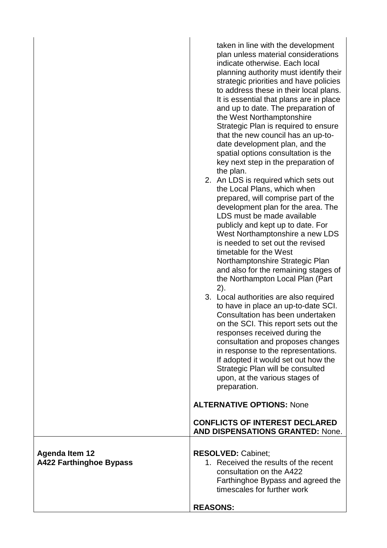| <b>Agenda Item 12</b><br><b>RESOLVED: Cabinet;</b><br>1. Received the results of the recent<br><b>A422 Farthinghoe Bypass</b><br>consultation on the A422 | taken in line with the development<br>plan unless material considerations<br>indicate otherwise. Each local<br>planning authority must identify their<br>strategic priorities and have policies<br>to address these in their local plans.<br>It is essential that plans are in place<br>and up to date. The preparation of<br>the West Northamptonshire<br>Strategic Plan is required to ensure<br>that the new council has an up-to-<br>date development plan, and the<br>spatial options consultation is the<br>key next step in the preparation of<br>the plan.<br>2. An LDS is required which sets out<br>the Local Plans, which when<br>prepared, will comprise part of the<br>development plan for the area. The<br>LDS must be made available<br>publicly and kept up to date. For<br>West Northamptonshire a new LDS<br>is needed to set out the revised<br>timetable for the West<br>Northamptonshire Strategic Plan<br>and also for the remaining stages of<br>the Northampton Local Plan (Part<br>2).<br>3. Local authorities are also required<br>to have in place an up-to-date SCI.<br>Consultation has been undertaken<br>on the SCI. This report sets out the<br>responses received during the<br>consultation and proposes changes<br>in response to the representations.<br>If adopted it would set out how the<br>Strategic Plan will be consulted<br>upon, at the various stages of<br>preparation.<br><b>ALTERNATIVE OPTIONS: None</b><br><b>CONFLICTS OF INTEREST DECLARED</b> |
|-----------------------------------------------------------------------------------------------------------------------------------------------------------|------------------------------------------------------------------------------------------------------------------------------------------------------------------------------------------------------------------------------------------------------------------------------------------------------------------------------------------------------------------------------------------------------------------------------------------------------------------------------------------------------------------------------------------------------------------------------------------------------------------------------------------------------------------------------------------------------------------------------------------------------------------------------------------------------------------------------------------------------------------------------------------------------------------------------------------------------------------------------------------------------------------------------------------------------------------------------------------------------------------------------------------------------------------------------------------------------------------------------------------------------------------------------------------------------------------------------------------------------------------------------------------------------------------------------------------------------------------------------------------------------|
|                                                                                                                                                           | <b>AND DISPENSATIONS GRANTED: None.</b>                                                                                                                                                                                                                                                                                                                                                                                                                                                                                                                                                                                                                                                                                                                                                                                                                                                                                                                                                                                                                                                                                                                                                                                                                                                                                                                                                                                                                                                              |
| <b>REASONS:</b>                                                                                                                                           | Farthinghoe Bypass and agreed the<br>timescales for further work                                                                                                                                                                                                                                                                                                                                                                                                                                                                                                                                                                                                                                                                                                                                                                                                                                                                                                                                                                                                                                                                                                                                                                                                                                                                                                                                                                                                                                     |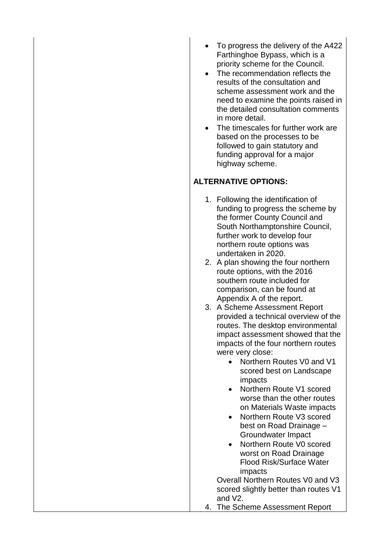- To progress the delivery of the A422 Farthinghoe Bypass, which is a priority scheme for the Council.
- The recommendation reflects the results of the consultation and scheme assessment work and the need to examine the points raised in the detailed consultation comments in more detail.
- The timescales for further work are based on the processes to be followed to gain statutory and funding approval for a major highway scheme.

## **ALTERNATIVE OPTIONS:**

- 1. Following the identification of funding to progress the scheme by the former County Council and South Northamptonshire Council, further work to develop four northern route options was undertaken in 2020.
- 2. A plan showing the four northern route options, with the 2016 southern route included for comparison, can be found at Appendix A of the report.
- 3. A Scheme Assessment Report provided a technical overview of the routes. The desktop environmental impact assessment showed that the impacts of the four northern routes were very close:
	- Northern Routes V0 and V1 scored best on Landscape impacts
	- Northern Route V1 scored worse than the other routes on Materials Waste impacts
	- Northern Route V3 scored best on Road Drainage – Groundwater Impact
	- Northern Route V0 scored worst on Road Drainage Flood Risk/Surface Water impacts

Overall Northern Routes V0 and V3 scored slightly better than routes V1 and V2.

4. The Scheme Assessment Report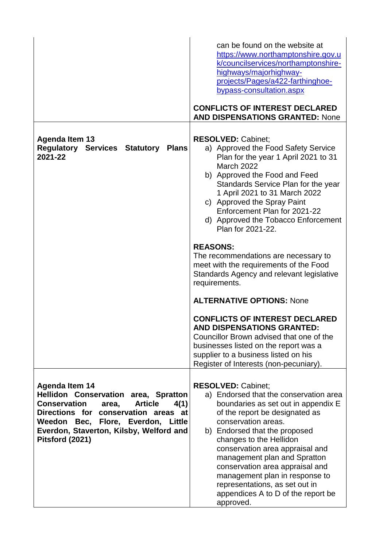|                                                                                                                                                                                                                                                                     | can be found on the website at<br>https://www.northamptonshire.gov.u<br>k/councilservices/northamptonshire-<br>highways/majorhighway-<br>projects/Pages/a422-farthinghoe-<br>bypass-consultation.aspx<br><b>CONFLICTS OF INTEREST DECLARED</b><br><b>AND DISPENSATIONS GRANTED: None</b>                                                                                                                                                                     |
|---------------------------------------------------------------------------------------------------------------------------------------------------------------------------------------------------------------------------------------------------------------------|--------------------------------------------------------------------------------------------------------------------------------------------------------------------------------------------------------------------------------------------------------------------------------------------------------------------------------------------------------------------------------------------------------------------------------------------------------------|
| <b>Agenda Item 13</b><br><b>Regulatory Services Statutory</b><br><b>Plans</b><br>2021-22                                                                                                                                                                            | <b>RESOLVED: Cabinet;</b><br>a) Approved the Food Safety Service<br>Plan for the year 1 April 2021 to 31<br><b>March 2022</b><br>b) Approved the Food and Feed<br>Standards Service Plan for the year<br>1 April 2021 to 31 March 2022<br>c) Approved the Spray Paint<br>Enforcement Plan for 2021-22<br>d) Approved the Tobacco Enforcement<br>Plan for 2021-22.                                                                                            |
|                                                                                                                                                                                                                                                                     | <b>REASONS:</b><br>The recommendations are necessary to<br>meet with the requirements of the Food<br>Standards Agency and relevant legislative<br>requirements.<br><b>ALTERNATIVE OPTIONS: None</b>                                                                                                                                                                                                                                                          |
|                                                                                                                                                                                                                                                                     | <b>CONFLICTS OF INTEREST DECLARED</b><br>AND DISPENSATIONS GRANTED:<br>Councillor Brown advised that one of the<br>businesses listed on the report was a<br>supplier to a business listed on his<br>Register of Interests (non-pecuniary).                                                                                                                                                                                                                   |
| <b>Agenda Item 14</b><br>Hellidon Conservation area, Spratton<br><b>Conservation</b><br><b>Article</b><br>4(1)<br>area,<br>Directions for conservation areas at<br>Weedon Bec, Flore, Everdon, Little<br>Everdon, Staverton, Kilsby, Welford and<br>Pitsford (2021) | <b>RESOLVED: Cabinet:</b><br>a) Endorsed that the conservation area<br>boundaries as set out in appendix E<br>of the report be designated as<br>conservation areas.<br>b) Endorsed that the proposed<br>changes to the Hellidon<br>conservation area appraisal and<br>management plan and Spratton<br>conservation area appraisal and<br>management plan in response to<br>representations, as set out in<br>appendices A to D of the report be<br>approved. |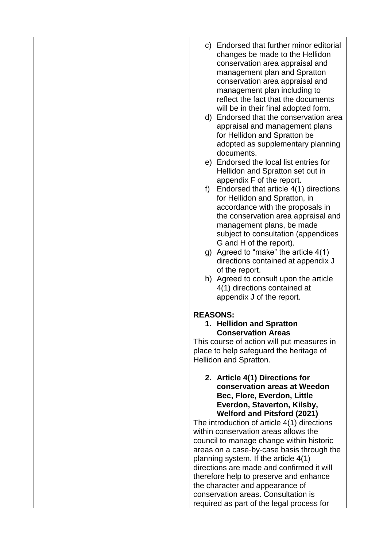- c) Endorsed that further minor editorial changes be made to the Hellidon conservation area appraisal and management plan and Spratton conservation area appraisal and management plan including to reflect the fact that the documents will be in their final adopted form.
- d) Endorsed that the conservation area appraisal and management plans for Hellidon and Spratton be adopted as supplementary planning documents.
- e) Endorsed the local list entries for Hellidon and Spratton set out in appendix F of the report.
- f) Endorsed that article 4(1) directions for Hellidon and Spratton, in accordance with the proposals in the conservation area appraisal and management plans, be made subject to consultation (appendices G and H of the report).
- g) Agreed to "make" the article 4(1) directions contained at appendix J of the report.
- h) Agreed to consult upon the article 4(1) directions contained at appendix J of the report.

### **REASONS:**

**1. Hellidon and Spratton Conservation Areas**

This course of action will put measures in place to help safeguard the heritage of Hellidon and Spratton.

#### **2. Article 4(1) Directions for conservation areas at Weedon Bec, Flore, Everdon, Little Everdon, Staverton, Kilsby, Welford and Pitsford (2021)**

The introduction of article 4(1) directions within conservation areas allows the council to manage change within historic areas on a case-by-case basis through the planning system. If the article 4(1) directions are made and confirmed it will therefore help to preserve and enhance the character and appearance of conservation areas. Consultation is required as part of the legal process for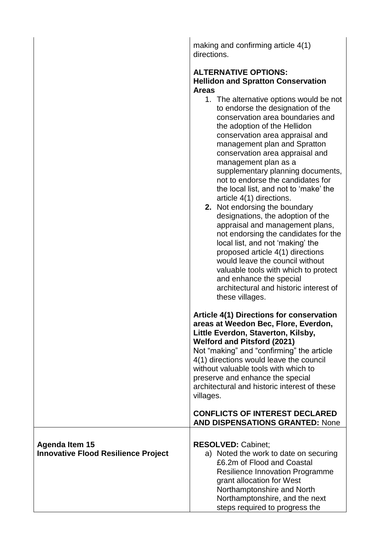making and confirming article 4(1) directions.

#### **ALTERNATIVE OPTIONS: Hellidon and Spratton Conservation Areas**

|                                                                     | Areas                                                                                                                                                                                                                                                                                                                                                                                                                                                                                                                                                                                                                                                                                                                                                                                                                     |
|---------------------------------------------------------------------|---------------------------------------------------------------------------------------------------------------------------------------------------------------------------------------------------------------------------------------------------------------------------------------------------------------------------------------------------------------------------------------------------------------------------------------------------------------------------------------------------------------------------------------------------------------------------------------------------------------------------------------------------------------------------------------------------------------------------------------------------------------------------------------------------------------------------|
|                                                                     | 1. The alternative options would be not<br>to endorse the designation of the<br>conservation area boundaries and<br>the adoption of the Hellidon<br>conservation area appraisal and<br>management plan and Spratton<br>conservation area appraisal and<br>management plan as a<br>supplementary planning documents,<br>not to endorse the candidates for<br>the local list, and not to 'make' the<br>article 4(1) directions.<br>2. Not endorsing the boundary<br>designations, the adoption of the<br>appraisal and management plans,<br>not endorsing the candidates for the<br>local list, and not 'making' the<br>proposed article 4(1) directions<br>would leave the council without<br>valuable tools with which to protect<br>and enhance the special<br>architectural and historic interest of<br>these villages. |
|                                                                     | <b>Article 4(1) Directions for conservation</b><br>areas at Weedon Bec, Flore, Everdon,<br>Little Everdon, Staverton, Kilsby,<br><b>Welford and Pitsford (2021)</b><br>Not "making" and "confirming" the article<br>4(1) directions would leave the council<br>without valuable tools with which to<br>preserve and enhance the special<br>architectural and historic interest of these                                                                                                                                                                                                                                                                                                                                                                                                                                   |
|                                                                     | villages.<br><b>CONFLICTS OF INTEREST DECLARED</b><br><b>AND DISPENSATIONS GRANTED: None</b>                                                                                                                                                                                                                                                                                                                                                                                                                                                                                                                                                                                                                                                                                                                              |
| <b>Agenda Item 15</b><br><b>Innovative Flood Resilience Project</b> | <b>RESOLVED: Cabinet;</b><br>a) Noted the work to date on securing<br>£6.2m of Flood and Coastal<br><b>Resilience Innovation Programme</b><br>grant allocation for West<br>Northamptonshire and North<br>Northamptonshire, and the next                                                                                                                                                                                                                                                                                                                                                                                                                                                                                                                                                                                   |
|                                                                     | steps required to progress the                                                                                                                                                                                                                                                                                                                                                                                                                                                                                                                                                                                                                                                                                                                                                                                            |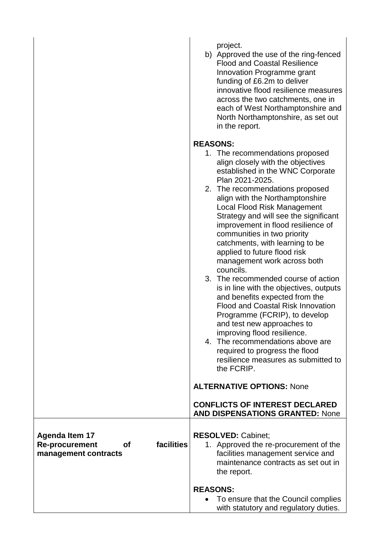|                                                                                            | project.<br>b) Approved the use of the ring-fenced<br><b>Flood and Coastal Resilience</b><br>Innovation Programme grant<br>funding of £6.2m to deliver<br>innovative flood resilience measures<br>across the two catchments, one in<br>each of West Northamptonshire and<br>North Northamptonshire, as set out<br>in the report.                                                                                                                                                                                                                                                                                                                                                                                                                                                                                                                                                 |
|--------------------------------------------------------------------------------------------|----------------------------------------------------------------------------------------------------------------------------------------------------------------------------------------------------------------------------------------------------------------------------------------------------------------------------------------------------------------------------------------------------------------------------------------------------------------------------------------------------------------------------------------------------------------------------------------------------------------------------------------------------------------------------------------------------------------------------------------------------------------------------------------------------------------------------------------------------------------------------------|
|                                                                                            | <b>REASONS:</b><br>1. The recommendations proposed<br>align closely with the objectives<br>established in the WNC Corporate<br>Plan 2021-2025.<br>2. The recommendations proposed<br>align with the Northamptonshire<br><b>Local Flood Risk Management</b><br>Strategy and will see the significant<br>improvement in flood resilience of<br>communities in two priority<br>catchments, with learning to be<br>applied to future flood risk<br>management work across both<br>councils.<br>3. The recommended course of action<br>is in line with the objectives, outputs<br>and benefits expected from the<br><b>Flood and Coastal Risk Innovation</b><br>Programme (FCRIP), to develop<br>and test new approaches to<br>improving flood resilience.<br>4. The recommendations above are<br>required to progress the flood<br>resilience measures as submitted to<br>the FCRIP. |
|                                                                                            | <b>ALTERNATIVE OPTIONS: None</b><br><b>CONFLICTS OF INTEREST DECLARED</b><br><b>AND DISPENSATIONS GRANTED: None</b>                                                                                                                                                                                                                                                                                                                                                                                                                                                                                                                                                                                                                                                                                                                                                              |
| <b>Agenda Item 17</b><br>facilities<br><b>Re-procurement</b><br>Οf<br>management contracts | <b>RESOLVED: Cabinet;</b><br>1. Approved the re-procurement of the<br>facilities management service and<br>maintenance contracts as set out in<br>the report.                                                                                                                                                                                                                                                                                                                                                                                                                                                                                                                                                                                                                                                                                                                    |
|                                                                                            | <b>REASONS:</b><br>To ensure that the Council complies<br>with statutory and regulatory duties.                                                                                                                                                                                                                                                                                                                                                                                                                                                                                                                                                                                                                                                                                                                                                                                  |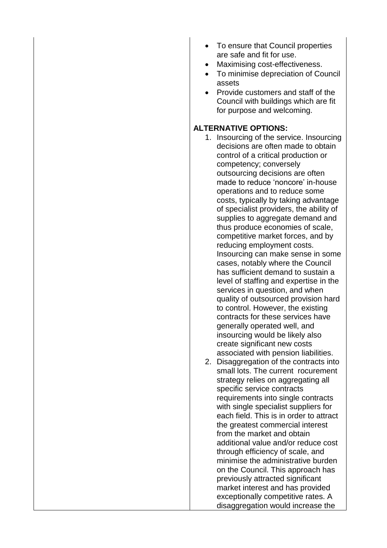- To ensure that Council properties are safe and fit for use.
- Maximising cost-effectiveness.
- To minimise depreciation of Council assets
- Provide customers and staff of the Council with buildings which are fit for purpose and welcoming.

### **ALTERNATIVE OPTIONS:**

- 1. Insourcing of the service. Insourcing decisions are often made to obtain control of a critical production or competency; conversely outsourcing decisions are often made to reduce 'noncore' in-house operations and to reduce some costs, typically by taking advantage of specialist providers, the ability of supplies to aggregate demand and thus produce economies of scale, competitive market forces, and by reducing employment costs. Insourcing can make sense in some cases, notably where the Council has sufficient demand to sustain a level of staffing and expertise in the services in question, and when quality of outsourced provision hard to control. However, the existing contracts for these services have generally operated well, and insourcing would be likely also create significant new costs associated with pension liabilities.
- 2. Disaggregation of the contracts into small lots. The current rocurement strategy relies on aggregating all specific service contracts requirements into single contracts with single specialist suppliers for each field. This is in order to attract the greatest commercial interest from the market and obtain additional value and/or reduce cost through efficiency of scale, and minimise the administrative burden on the Council. This approach has previously attracted significant market interest and has provided exceptionally competitive rates. A disaggregation would increase the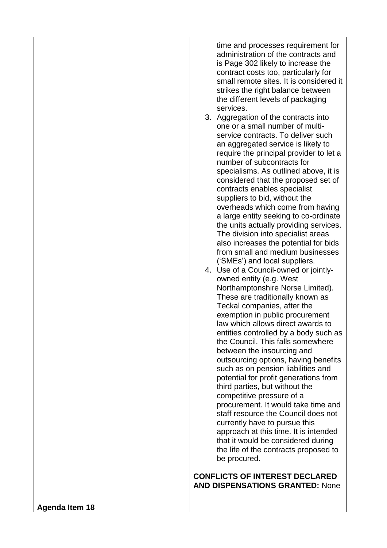time and processes requirement for administration of the contracts and is Page 302 likely to increase the contract costs too, particularly for small remote sites. It is considered it strikes the right balance between the different levels of packaging services.

3. Aggregation of the contracts into one or a small number of multi service contracts. To deliver such an aggregated service is likely to require the principal provider to let a number of subcontracts for specialisms. As outlined above, it is considered that the proposed set of contracts enables specialist suppliers to bid, without the overheads which come from having a large entity seeking to co -ordinate the units actually providing services. The division into specialist areas also increases the potential for bids from small and medium businesses ('SMEs') and local suppliers.

|  | 4. Use of a Council-owned or jointly- |
|--|---------------------------------------|
|  | owned entity (e.g. West               |
|  | Northamptonshire Norse Limited).      |
|  | These are traditionally known as      |
|  | Teckal companies, after the           |
|  | exemption in public procurement       |
|  | law which allows direct awards to     |
|  | entities controlled by a body such as |
|  | the Council. This falls somewhere     |
|  | between the insourcing and            |
|  | outsourcing options, having benefits  |
|  | such as on pension liabilities and    |
|  | potential for profit generations from |
|  | third parties, but without the        |
|  | competitive pressure of a             |
|  | procurement. It would take time and   |
|  | staff resource the Council does not   |
|  | currently have to pursue this         |
|  | approach at this time. It is intended |
|  | that it would be considered during    |
|  | the life of the contracts proposed to |
|  | be procured.                          |
|  | <b>CONFLICTS OF INTEREST DECLARED</b> |
|  |                                       |

**AND DISPENSATIONS GRANTED:** None

**Agenda Item 18**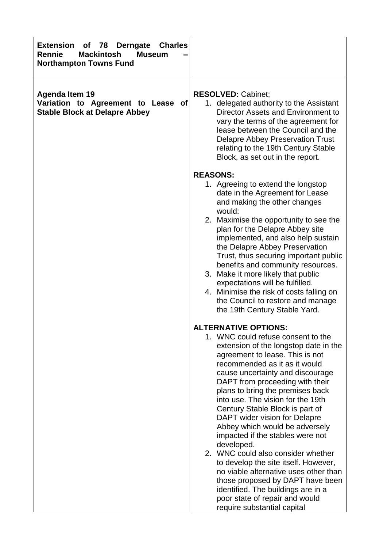| <b>Extension</b><br><b>Charles</b><br>78<br><b>Derngate</b><br><b>of</b><br><b>Mackintosh</b><br><b>Rennie</b><br><b>Museum</b><br><b>Northampton Towns Fund</b> |                                                                                                                                                                                                                                                                                                                                                                                                                                                                                                                                                                                                                                                                                                                                                          |
|------------------------------------------------------------------------------------------------------------------------------------------------------------------|----------------------------------------------------------------------------------------------------------------------------------------------------------------------------------------------------------------------------------------------------------------------------------------------------------------------------------------------------------------------------------------------------------------------------------------------------------------------------------------------------------------------------------------------------------------------------------------------------------------------------------------------------------------------------------------------------------------------------------------------------------|
| <b>Agenda Item 19</b><br>Variation to Agreement to Lease of<br><b>Stable Block at Delapre Abbey</b>                                                              | <b>RESOLVED: Cabinet;</b><br>1. delegated authority to the Assistant<br>Director Assets and Environment to<br>vary the terms of the agreement for<br>lease between the Council and the<br><b>Delapre Abbey Preservation Trust</b><br>relating to the 19th Century Stable<br>Block, as set out in the report.                                                                                                                                                                                                                                                                                                                                                                                                                                             |
|                                                                                                                                                                  | <b>REASONS:</b><br>1. Agreeing to extend the longstop<br>date in the Agreement for Lease<br>and making the other changes<br>would:<br>2. Maximise the opportunity to see the<br>plan for the Delapre Abbey site<br>implemented, and also help sustain<br>the Delapre Abbey Preservation<br>Trust, thus securing important public<br>benefits and community resources.<br>3. Make it more likely that public<br>expectations will be fulfilled.<br>4. Minimise the risk of costs falling on<br>the Council to restore and manage<br>the 19th Century Stable Yard.                                                                                                                                                                                         |
|                                                                                                                                                                  | <b>ALTERNATIVE OPTIONS:</b><br>1. WNC could refuse consent to the<br>extension of the longstop date in the<br>agreement to lease. This is not<br>recommended as it as it would<br>cause uncertainty and discourage<br>DAPT from proceeding with their<br>plans to bring the premises back<br>into use. The vision for the 19th<br>Century Stable Block is part of<br>DAPT wider vision for Delapre<br>Abbey which would be adversely<br>impacted if the stables were not<br>developed.<br>2. WNC could also consider whether<br>to develop the site itself. However,<br>no viable alternative uses other than<br>those proposed by DAPT have been<br>identified. The buildings are in a<br>poor state of repair and would<br>require substantial capital |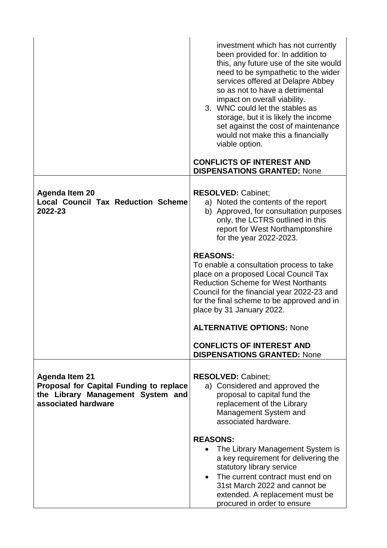|                                                                                                                                     | investment which has not currently<br>been provided for. In addition to<br>this, any future use of the site would<br>need to be sympathetic to the wider<br>services offered at Delapre Abbey<br>so as not to have a detrimental<br>impact on overall viability.<br>3. WNC could let the stables as<br>storage, but it is likely the income<br>set against the cost of maintenance<br>would not make this a financially<br>viable option.<br><b>CONFLICTS OF INTEREST AND</b><br><b>DISPENSATIONS GRANTED: None</b> |
|-------------------------------------------------------------------------------------------------------------------------------------|---------------------------------------------------------------------------------------------------------------------------------------------------------------------------------------------------------------------------------------------------------------------------------------------------------------------------------------------------------------------------------------------------------------------------------------------------------------------------------------------------------------------|
|                                                                                                                                     |                                                                                                                                                                                                                                                                                                                                                                                                                                                                                                                     |
| <b>Agenda Item 20</b><br><b>Local Council Tax Reduction Scheme</b><br>2022-23                                                       | <b>RESOLVED: Cabinet;</b><br>a) Noted the contents of the report<br>b) Approved, for consultation purposes<br>only, the LCTRS outlined in this<br>report for West Northamptonshire<br>for the year 2022-2023.                                                                                                                                                                                                                                                                                                       |
|                                                                                                                                     | <b>REASONS:</b><br>To enable a consultation process to take<br>place on a proposed Local Council Tax<br><b>Reduction Scheme for West Northants</b><br>Council for the financial year 2022-23 and<br>for the final scheme to be approved and in<br>place by 31 January 2022.                                                                                                                                                                                                                                         |
|                                                                                                                                     | <b>ALTERNATIVE OPTIONS: None</b>                                                                                                                                                                                                                                                                                                                                                                                                                                                                                    |
|                                                                                                                                     | <b>CONFLICTS OF INTEREST AND</b><br><b>DISPENSATIONS GRANTED: None</b>                                                                                                                                                                                                                                                                                                                                                                                                                                              |
| <b>Agenda Item 21</b><br><b>Proposal for Capital Funding to replace</b><br>the Library Management System and<br>associated hardware | <b>RESOLVED: Cabinet;</b><br>a) Considered and approved the<br>proposal to capital fund the<br>replacement of the Library<br>Management System and<br>associated hardware.                                                                                                                                                                                                                                                                                                                                          |
|                                                                                                                                     | <b>REASONS:</b><br>The Library Management System is<br>$\bullet$                                                                                                                                                                                                                                                                                                                                                                                                                                                    |
|                                                                                                                                     | a key requirement for delivering the<br>statutory library service                                                                                                                                                                                                                                                                                                                                                                                                                                                   |
|                                                                                                                                     | The current contract must end on<br>31st March 2022 and cannot be<br>extended. A replacement must be<br>procured in order to ensure                                                                                                                                                                                                                                                                                                                                                                                 |